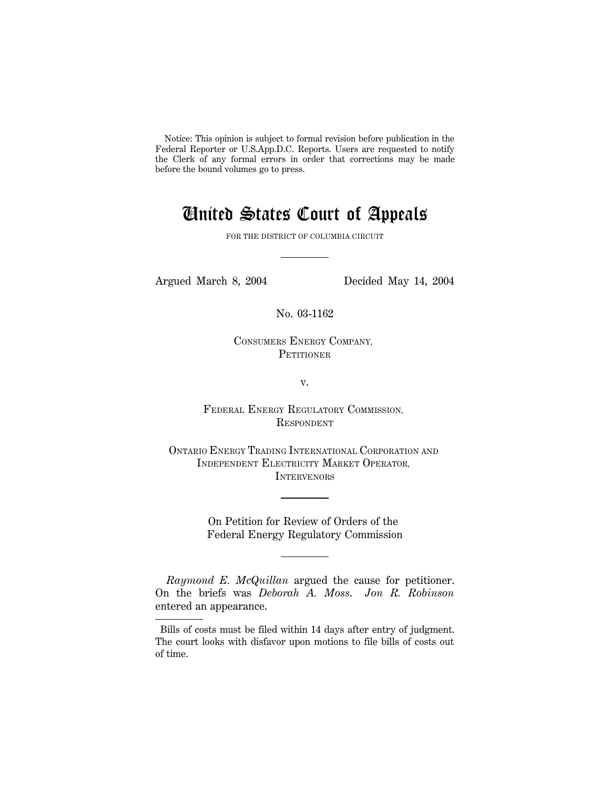Notice: This opinion is subject to formal revision before publication in the Federal Reporter or U.S.App.D.C. Reports. Users are requested to notify the Clerk of any formal errors in order that corrections may be made before the bound volumes go to press.

# United States Court of Appeals

FOR THE DISTRICT OF COLUMBIA CIRCUIT

Argued March 8, 2004 Decided May 14, 2004

No. 03-1162

CONSUMERS ENERGY COMPANY, **PETITIONER** 

v.

FEDERAL ENERGY REGULATORY COMMISSION, RESPONDENT

ONTARIO ENERGY TRADING INTERNATIONAL CORPORATION AND INDEPENDENT ELECTRICITY MARKET OPERATOR, **INTERVENORS** 

> On Petition for Review of Orders of the Federal Energy Regulatory Commission

*Raymond E. McQuillan* argued the cause for petitioner. On the briefs was *Deborah A. Moss*. *Jon R. Robinson* entered an appearance.

 Bills of costs must be filed within 14 days after entry of judgment. The court looks with disfavor upon motions to file bills of costs out of time.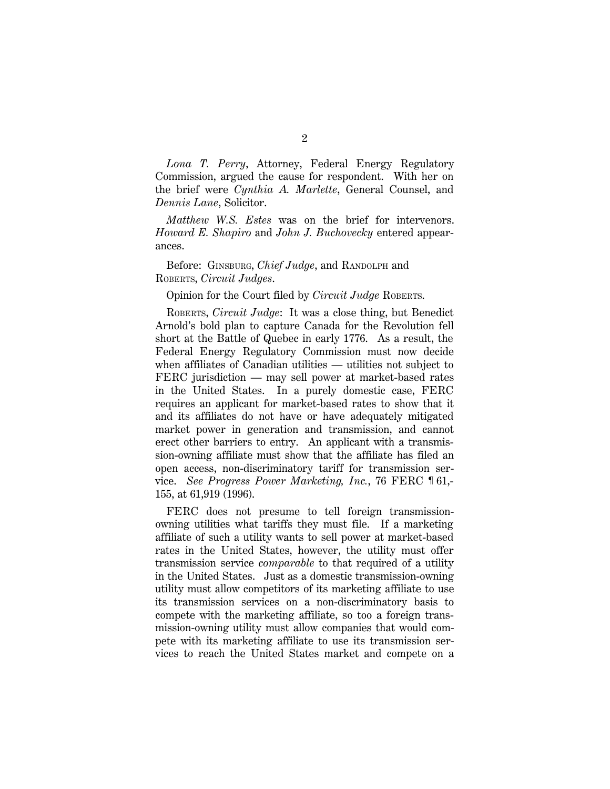*Lona T. Perry*, Attorney, Federal Energy Regulatory Commission, argued the cause for respondent. With her on the brief were *Cynthia A. Marlette*, General Counsel, and *Dennis Lane*, Solicitor.

*Matthew W.S. Estes* was on the brief for intervenors. *Howard E. Shapiro* and *John J. Buchovecky* entered appearances.

Before: GINSBURG, *Chief Judge*, and RANDOLPH and ROBERTS, *Circuit Judges*.

Opinion for the Court filed by *Circuit Judge* ROBERTS.

ROBERTS, *Circuit Judge*: It was a close thing, but Benedict Arnold's bold plan to capture Canada for the Revolution fell short at the Battle of Quebec in early 1776. As a result, the Federal Energy Regulatory Commission must now decide when affiliates of Canadian utilities — utilities not subject to FERC jurisdiction — may sell power at market-based rates in the United States. In a purely domestic case, FERC requires an applicant for market-based rates to show that it and its affiliates do not have or have adequately mitigated market power in generation and transmission, and cannot erect other barriers to entry. An applicant with a transmission-owning affiliate must show that the affiliate has filed an open access, non-discriminatory tariff for transmission service. *See Progress Power Marketing, Inc.*, 76 FERC ¶ 61,- 155, at 61,919 (1996).

FERC does not presume to tell foreign transmissionowning utilities what tariffs they must file. If a marketing affiliate of such a utility wants to sell power at market-based rates in the United States, however, the utility must offer transmission service *comparable* to that required of a utility in the United States. Just as a domestic transmission-owning utility must allow competitors of its marketing affiliate to use its transmission services on a non-discriminatory basis to compete with the marketing affiliate, so too a foreign transmission-owning utility must allow companies that would compete with its marketing affiliate to use its transmission services to reach the United States market and compete on a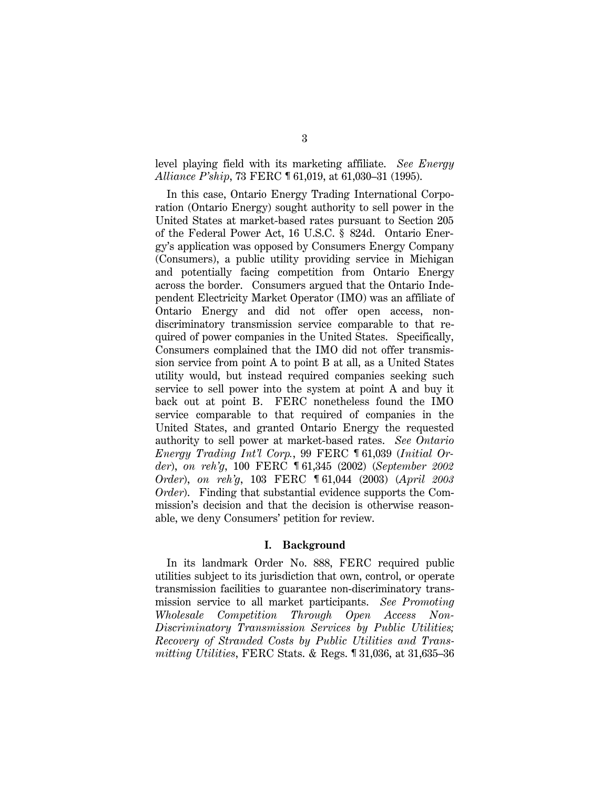level playing field with its marketing affiliate. *See Energy Alliance P'ship*, 73 FERC ¶ 61,019, at 61,030–31 (1995).

In this case, Ontario Energy Trading International Corporation (Ontario Energy) sought authority to sell power in the United States at market-based rates pursuant to Section 205 of the Federal Power Act, 16 U.S.C. § 824d. Ontario Energy's application was opposed by Consumers Energy Company (Consumers), a public utility providing service in Michigan and potentially facing competition from Ontario Energy across the border. Consumers argued that the Ontario Independent Electricity Market Operator (IMO) was an affiliate of Ontario Energy and did not offer open access, nondiscriminatory transmission service comparable to that required of power companies in the United States. Specifically, Consumers complained that the IMO did not offer transmission service from point A to point B at all, as a United States utility would, but instead required companies seeking such service to sell power into the system at point A and buy it back out at point B. FERC nonetheless found the IMO service comparable to that required of companies in the United States, and granted Ontario Energy the requested authority to sell power at market-based rates. *See Ontario Energy Trading Int'l Corp.*, 99 FERC ¶ 61,039 (*Initial Order*), *on reh'g*, 100 FERC ¶ 61,345 (2002) (*September 2002 Order*), *on reh'g*, 103 FERC ¶ 61,044 (2003) (*April 2003 Order*). Finding that substantial evidence supports the Commission's decision and that the decision is otherwise reasonable, we deny Consumers' petition for review.

## **I. Background**

In its landmark Order No. 888, FERC required public utilities subject to its jurisdiction that own, control, or operate transmission facilities to guarantee non-discriminatory transmission service to all market participants. *See Promoting Wholesale Competition Through Open Access Non-Discriminatory Transmission Services by Public Utilities; Recovery of Stranded Costs by Public Utilities and Transmitting Utilities*, FERC Stats. & Regs. ¶ 31,036, at 31,635–36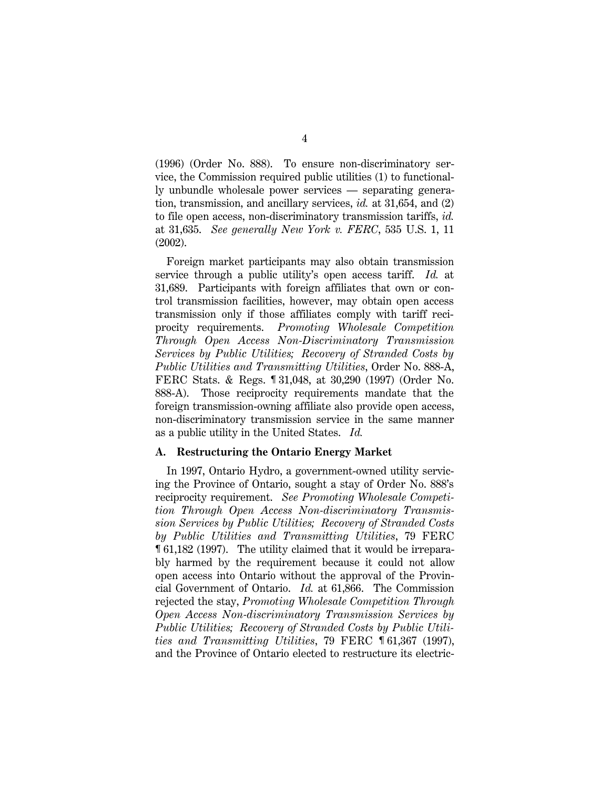(1996) (Order No. 888). To ensure non-discriminatory service, the Commission required public utilities (1) to functionally unbundle wholesale power services — separating generation, transmission, and ancillary services, *id.* at 31,654, and (2) to file open access, non-discriminatory transmission tariffs, *id.* at 31,635. *See generally New York v. FERC*, 535 U.S. 1, 11 (2002).

Foreign market participants may also obtain transmission service through a public utility's open access tariff. *Id.* at 31,689. Participants with foreign affiliates that own or control transmission facilities, however, may obtain open access transmission only if those affiliates comply with tariff reciprocity requirements. *Promoting Wholesale Competition Through Open Access Non-Discriminatory Transmission Services by Public Utilities; Recovery of Stranded Costs by Public Utilities and Transmitting Utilities*, Order No. 888-A, FERC Stats. & Regs. ¶ 31,048, at 30,290 (1997) (Order No. 888-A). Those reciprocity requirements mandate that the foreign transmission-owning affiliate also provide open access, non-discriminatory transmission service in the same manner as a public utility in the United States. *Id.*

## **A. Restructuring the Ontario Energy Market**

In 1997, Ontario Hydro, a government-owned utility servicing the Province of Ontario, sought a stay of Order No. 888's reciprocity requirement. *See Promoting Wholesale Competition Through Open Access Non-discriminatory Transmission Services by Public Utilities; Recovery of Stranded Costs by Public Utilities and Transmitting Utilities*, 79 FERC ¶ 61,182 (1997). The utility claimed that it would be irreparably harmed by the requirement because it could not allow open access into Ontario without the approval of the Provincial Government of Ontario. *Id.* at 61,866. The Commission rejected the stay, *Promoting Wholesale Competition Through Open Access Non-discriminatory Transmission Services by Public Utilities; Recovery of Stranded Costs by Public Utilities and Transmitting Utilities*, 79 FERC ¶ 61,367 (1997), and the Province of Ontario elected to restructure its electric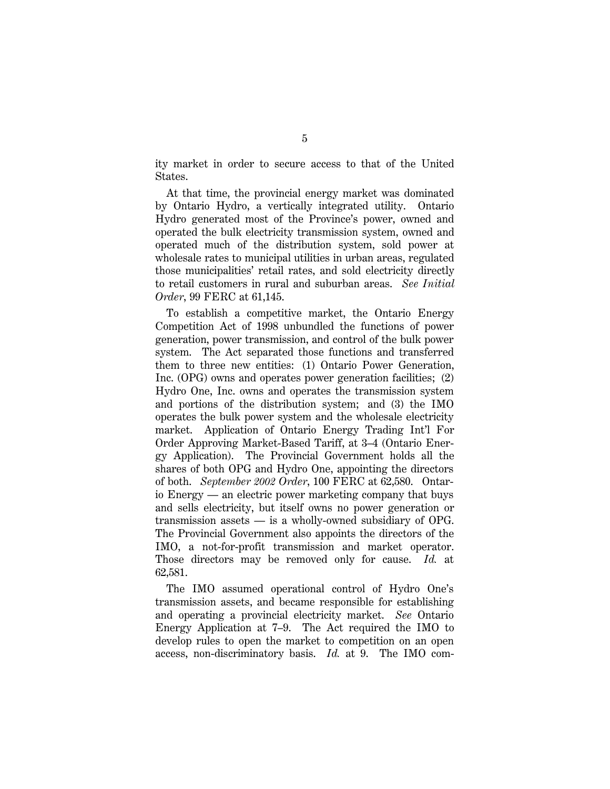ity market in order to secure access to that of the United States.

At that time, the provincial energy market was dominated by Ontario Hydro, a vertically integrated utility. Ontario Hydro generated most of the Province's power, owned and operated the bulk electricity transmission system, owned and operated much of the distribution system, sold power at wholesale rates to municipal utilities in urban areas, regulated those municipalities' retail rates, and sold electricity directly to retail customers in rural and suburban areas. *See Initial Order*, 99 FERC at 61,145.

To establish a competitive market, the Ontario Energy Competition Act of 1998 unbundled the functions of power generation, power transmission, and control of the bulk power system. The Act separated those functions and transferred them to three new entities: (1) Ontario Power Generation, Inc. (OPG) owns and operates power generation facilities; (2) Hydro One, Inc. owns and operates the transmission system and portions of the distribution system; and (3) the IMO operates the bulk power system and the wholesale electricity market. Application of Ontario Energy Trading Int'l For Order Approving Market-Based Tariff, at 3–4 (Ontario Energy Application). The Provincial Government holds all the shares of both OPG and Hydro One, appointing the directors of both. *September 2002 Order*, 100 FERC at 62,580. Ontario Energy — an electric power marketing company that buys and sells electricity, but itself owns no power generation or transmission assets — is a wholly-owned subsidiary of OPG. The Provincial Government also appoints the directors of the IMO, a not-for-profit transmission and market operator. Those directors may be removed only for cause. *Id.* at 62,581.

The IMO assumed operational control of Hydro One's transmission assets, and became responsible for establishing and operating a provincial electricity market. *See* Ontario Energy Application at 7–9. The Act required the IMO to develop rules to open the market to competition on an open access, non-discriminatory basis. *Id.* at 9. The IMO com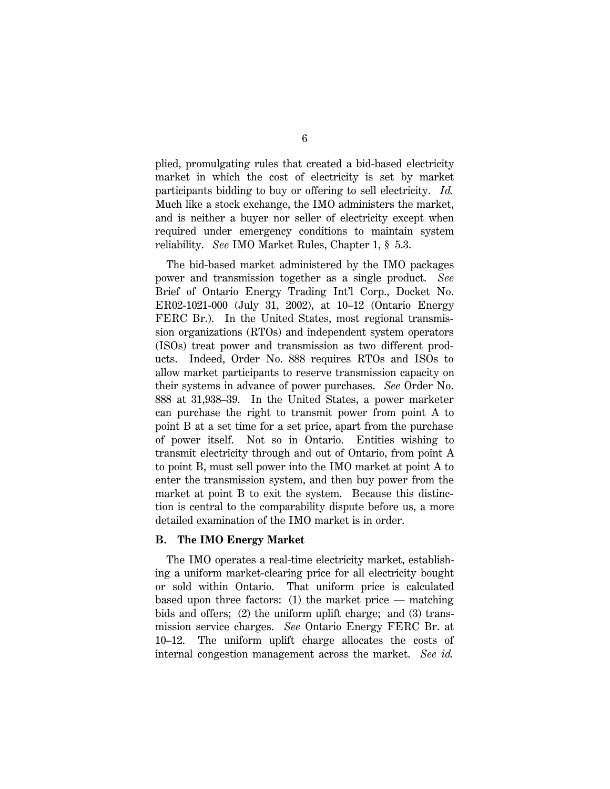plied, promulgating rules that created a bid-based electricity market in which the cost of electricity is set by market participants bidding to buy or offering to sell electricity. *Id.* Much like a stock exchange, the IMO administers the market, and is neither a buyer nor seller of electricity except when required under emergency conditions to maintain system reliability. *See* IMO Market Rules, Chapter 1, § 5.3.

The bid-based market administered by the IMO packages power and transmission together as a single product. *See* Brief of Ontario Energy Trading Int'l Corp., Docket No. ER02-1021-000 (July 31, 2002), at 10–12 (Ontario Energy FERC Br.). In the United States, most regional transmission organizations (RTOs) and independent system operators (ISOs) treat power and transmission as two different products. Indeed, Order No. 888 requires RTOs and ISOs to allow market participants to reserve transmission capacity on their systems in advance of power purchases. *See* Order No. 888 at 31,938–39. In the United States, a power marketer can purchase the right to transmit power from point A to point B at a set time for a set price, apart from the purchase of power itself. Not so in Ontario. Entities wishing to transmit electricity through and out of Ontario, from point A to point B, must sell power into the IMO market at point A to enter the transmission system, and then buy power from the market at point B to exit the system. Because this distinction is central to the comparability dispute before us, a more detailed examination of the IMO market is in order.

## **B. The IMO Energy Market**

The IMO operates a real-time electricity market, establishing a uniform market-clearing price for all electricity bought or sold within Ontario. That uniform price is calculated based upon three factors: (1) the market price — matching bids and offers; (2) the uniform uplift charge; and (3) transmission service charges. *See* Ontario Energy FERC Br. at 10–12. The uniform uplift charge allocates the costs of internal congestion management across the market. *See id.*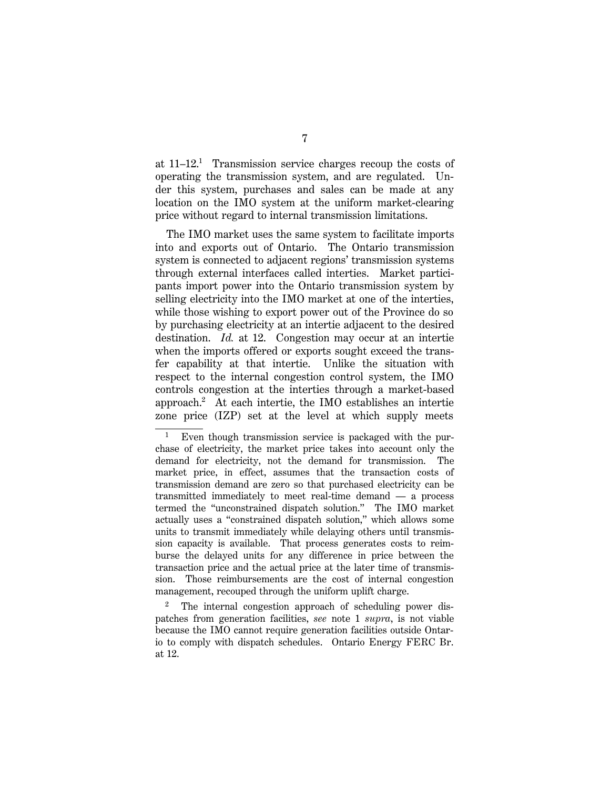at  $11-12$ .<sup>1</sup> Transmission service charges recoup the costs of operating the transmission system, and are regulated. Under this system, purchases and sales can be made at any location on the IMO system at the uniform market-clearing price without regard to internal transmission limitations.

The IMO market uses the same system to facilitate imports into and exports out of Ontario. The Ontario transmission system is connected to adjacent regions' transmission systems through external interfaces called interties. Market participants import power into the Ontario transmission system by selling electricity into the IMO market at one of the interties, while those wishing to export power out of the Province do so by purchasing electricity at an intertie adjacent to the desired destination. *Id.* at 12. Congestion may occur at an intertie when the imports offered or exports sought exceed the transfer capability at that intertie. Unlike the situation with respect to the internal congestion control system, the IMO controls congestion at the interties through a market-based approach.2 At each intertie, the IMO establishes an intertie zone price (IZP) set at the level at which supply meets

2 The internal congestion approach of scheduling power dispatches from generation facilities, *see* note 1 *supra*, is not viable because the IMO cannot require generation facilities outside Ontario to comply with dispatch schedules. Ontario Energy FERC Br. at 12.

<sup>1</sup> Even though transmission service is packaged with the purchase of electricity, the market price takes into account only the demand for electricity, not the demand for transmission. The market price, in effect, assumes that the transaction costs of transmission demand are zero so that purchased electricity can be transmitted immediately to meet real-time demand — a process termed the ''unconstrained dispatch solution.'' The IMO market actually uses a ''constrained dispatch solution,'' which allows some units to transmit immediately while delaying others until transmission capacity is available. That process generates costs to reimburse the delayed units for any difference in price between the transaction price and the actual price at the later time of transmission. Those reimbursements are the cost of internal congestion management, recouped through the uniform uplift charge.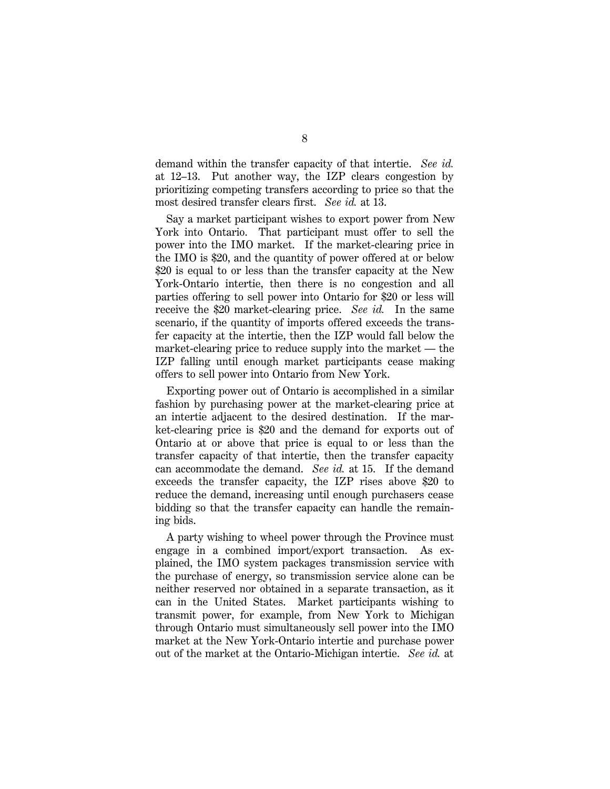demand within the transfer capacity of that intertie. *See id.* at 12–13. Put another way, the IZP clears congestion by prioritizing competing transfers according to price so that the most desired transfer clears first. *See id.* at 13.

Say a market participant wishes to export power from New York into Ontario. That participant must offer to sell the power into the IMO market. If the market-clearing price in the IMO is \$20, and the quantity of power offered at or below \$20 is equal to or less than the transfer capacity at the New York-Ontario intertie, then there is no congestion and all parties offering to sell power into Ontario for \$20 or less will receive the \$20 market-clearing price. *See id.* In the same scenario, if the quantity of imports offered exceeds the transfer capacity at the intertie, then the IZP would fall below the market-clearing price to reduce supply into the market — the IZP falling until enough market participants cease making offers to sell power into Ontario from New York.

Exporting power out of Ontario is accomplished in a similar fashion by purchasing power at the market-clearing price at an intertie adjacent to the desired destination. If the market-clearing price is \$20 and the demand for exports out of Ontario at or above that price is equal to or less than the transfer capacity of that intertie, then the transfer capacity can accommodate the demand. *See id.* at 15. If the demand exceeds the transfer capacity, the IZP rises above \$20 to reduce the demand, increasing until enough purchasers cease bidding so that the transfer capacity can handle the remaining bids.

A party wishing to wheel power through the Province must engage in a combined import/export transaction. As explained, the IMO system packages transmission service with the purchase of energy, so transmission service alone can be neither reserved nor obtained in a separate transaction, as it can in the United States. Market participants wishing to transmit power, for example, from New York to Michigan through Ontario must simultaneously sell power into the IMO market at the New York-Ontario intertie and purchase power out of the market at the Ontario-Michigan intertie. *See id.* at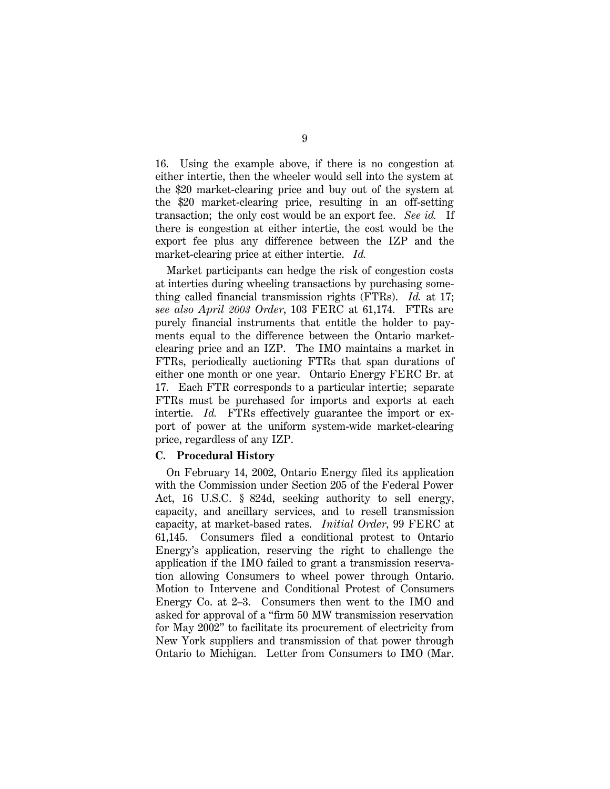16. Using the example above, if there is no congestion at either intertie, then the wheeler would sell into the system at the \$20 market-clearing price and buy out of the system at the \$20 market-clearing price, resulting in an off-setting transaction; the only cost would be an export fee. *See id.* If there is congestion at either intertie, the cost would be the export fee plus any difference between the IZP and the market-clearing price at either intertie. *Id.*

Market participants can hedge the risk of congestion costs at interties during wheeling transactions by purchasing something called financial transmission rights (FTRs). *Id.* at 17; *see also April 2003 Order*, 103 FERC at 61,174. FTRs are purely financial instruments that entitle the holder to payments equal to the difference between the Ontario marketclearing price and an IZP. The IMO maintains a market in FTRs, periodically auctioning FTRs that span durations of either one month or one year. Ontario Energy FERC Br. at 17. Each FTR corresponds to a particular intertie; separate FTRs must be purchased for imports and exports at each intertie. *Id.* FTRs effectively guarantee the import or export of power at the uniform system-wide market-clearing price, regardless of any IZP.

## **C. Procedural History**

On February 14, 2002, Ontario Energy filed its application with the Commission under Section 205 of the Federal Power Act, 16 U.S.C. § 824d, seeking authority to sell energy, capacity, and ancillary services, and to resell transmission capacity, at market-based rates. *Initial Order*, 99 FERC at 61,145. Consumers filed a conditional protest to Ontario Energy's application, reserving the right to challenge the application if the IMO failed to grant a transmission reservation allowing Consumers to wheel power through Ontario. Motion to Intervene and Conditional Protest of Consumers Energy Co. at 2–3. Consumers then went to the IMO and asked for approval of a ''firm 50 MW transmission reservation for May 2002'' to facilitate its procurement of electricity from New York suppliers and transmission of that power through Ontario to Michigan. Letter from Consumers to IMO (Mar.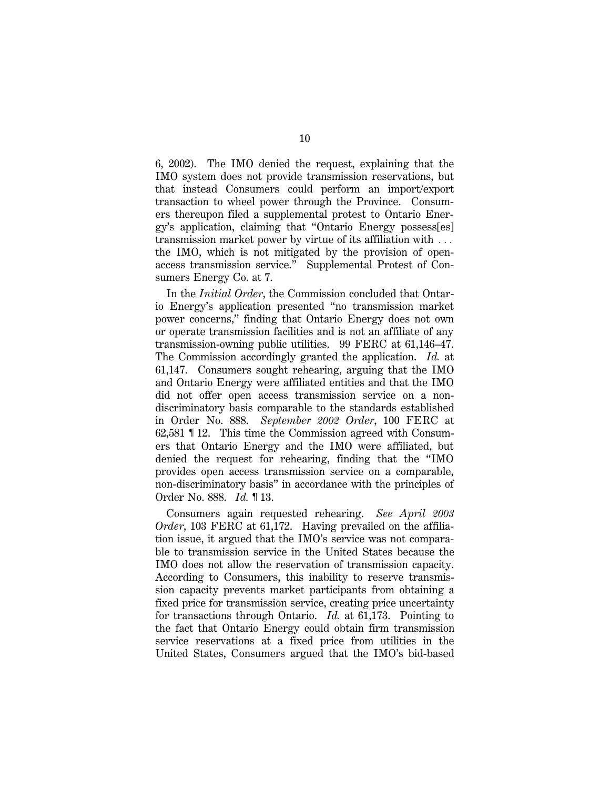6, 2002). The IMO denied the request, explaining that the IMO system does not provide transmission reservations, but that instead Consumers could perform an import/export transaction to wheel power through the Province. Consumers thereupon filed a supplemental protest to Ontario Energy's application, claiming that ''Ontario Energy possess[es] transmission market power by virtue of its affiliation with  $\ldots$ the IMO, which is not mitigated by the provision of openaccess transmission service.'' Supplemental Protest of Consumers Energy Co. at 7.

In the *Initial Order*, the Commission concluded that Ontario Energy's application presented ''no transmission market power concerns,'' finding that Ontario Energy does not own or operate transmission facilities and is not an affiliate of any transmission-owning public utilities. 99 FERC at 61,146–47. The Commission accordingly granted the application. *Id.* at 61,147. Consumers sought rehearing, arguing that the IMO and Ontario Energy were affiliated entities and that the IMO did not offer open access transmission service on a nondiscriminatory basis comparable to the standards established in Order No. 888. *September 2002 Order*, 100 FERC at 62,581 ¶ 12. This time the Commission agreed with Consumers that Ontario Energy and the IMO were affiliated, but denied the request for rehearing, finding that the ''IMO provides open access transmission service on a comparable, non-discriminatory basis'' in accordance with the principles of Order No. 888. *Id.* ¶ 13.

Consumers again requested rehearing. *See April 2003 Order*, 103 FERC at 61,172. Having prevailed on the affiliation issue, it argued that the IMO's service was not comparable to transmission service in the United States because the IMO does not allow the reservation of transmission capacity. According to Consumers, this inability to reserve transmission capacity prevents market participants from obtaining a fixed price for transmission service, creating price uncertainty for transactions through Ontario. *Id.* at 61,173. Pointing to the fact that Ontario Energy could obtain firm transmission service reservations at a fixed price from utilities in the United States, Consumers argued that the IMO's bid-based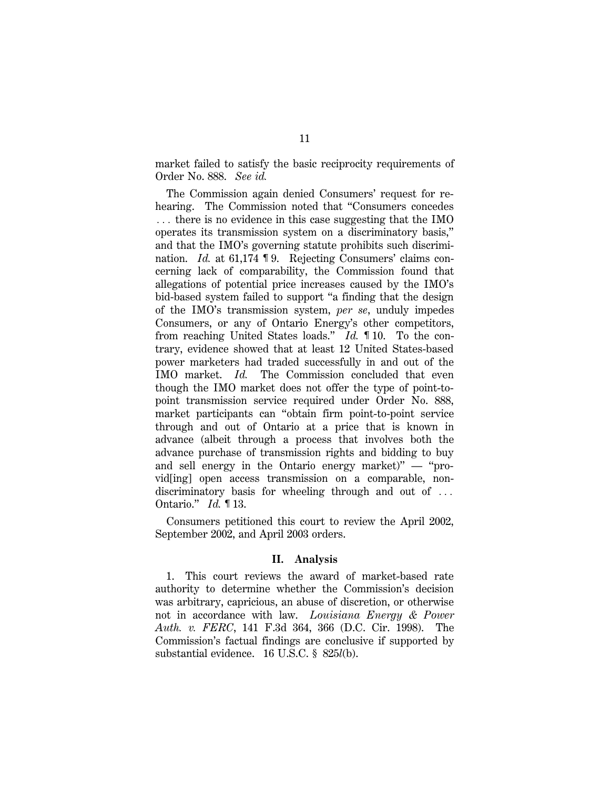market failed to satisfy the basic reciprocity requirements of Order No. 888. *See id.*

The Commission again denied Consumers' request for rehearing. The Commission noted that "Consumers concedes  $\ldots$  there is no evidence in this case suggesting that the IMO operates its transmission system on a discriminatory basis,'' and that the IMO's governing statute prohibits such discrimination. *Id.* at 61,174 ¶ 9. Rejecting Consumers' claims concerning lack of comparability, the Commission found that allegations of potential price increases caused by the IMO's bid-based system failed to support ''a finding that the design of the IMO's transmission system, *per se*, unduly impedes Consumers, or any of Ontario Energy's other competitors, from reaching United States loads.'' *Id.* ¶ 10. To the contrary, evidence showed that at least 12 United States-based power marketers had traded successfully in and out of the IMO market. *Id.* The Commission concluded that even though the IMO market does not offer the type of point-topoint transmission service required under Order No. 888, market participants can ''obtain firm point-to-point service through and out of Ontario at a price that is known in advance (albeit through a process that involves both the advance purchase of transmission rights and bidding to buy and sell energy in the Ontario energy market)"  $-$  "provid[ing] open access transmission on a comparable, nondiscriminatory basis for wheeling through and out of  $\ldots$ Ontario.'' *Id.* ¶ 13.

Consumers petitioned this court to review the April 2002, September 2002, and April 2003 orders.

### **II. Analysis**

1. This court reviews the award of market-based rate authority to determine whether the Commission's decision was arbitrary, capricious, an abuse of discretion, or otherwise not in accordance with law. *Louisiana Energy & Power Auth. v. FERC*, 141 F.3d 364, 366 (D.C. Cir. 1998). The Commission's factual findings are conclusive if supported by substantial evidence. 16 U.S.C. § 825*l*(b).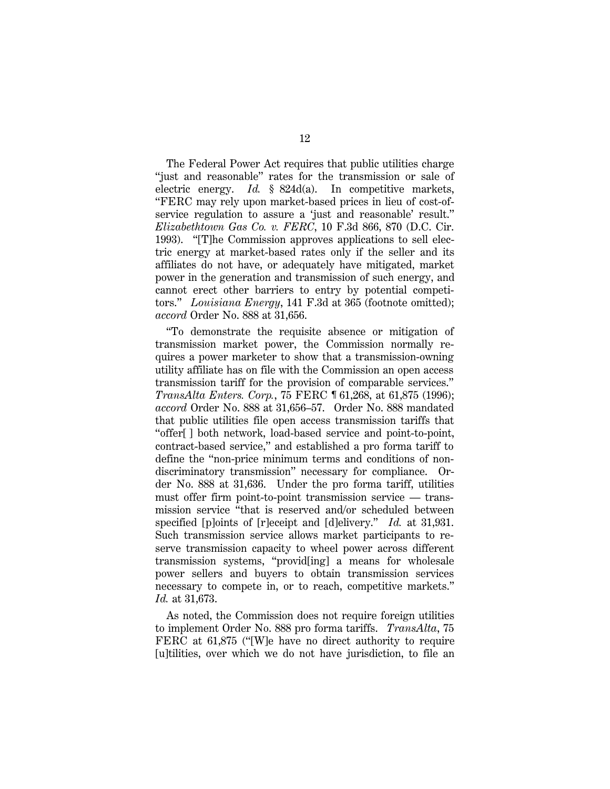The Federal Power Act requires that public utilities charge ''just and reasonable'' rates for the transmission or sale of electric energy. *Id.* § 824d(a). In competitive markets, ''FERC may rely upon market-based prices in lieu of cost-ofservice regulation to assure a 'just and reasonable' result.'' *Elizabethtown Gas Co. v. FERC*, 10 F.3d 866, 870 (D.C. Cir. 1993). ''[T]he Commission approves applications to sell electric energy at market-based rates only if the seller and its affiliates do not have, or adequately have mitigated, market power in the generation and transmission of such energy, and cannot erect other barriers to entry by potential competitors.'' *Louisiana Energy*, 141 F.3d at 365 (footnote omitted); *accord* Order No. 888 at 31,656.

''To demonstrate the requisite absence or mitigation of transmission market power, the Commission normally requires a power marketer to show that a transmission-owning utility affiliate has on file with the Commission an open access transmission tariff for the provision of comparable services.'' *TransAlta Enters. Corp.*, 75 FERC ¶ 61,268, at 61,875 (1996); *accord* Order No. 888 at 31,656–57. Order No. 888 mandated that public utilities file open access transmission tariffs that ''offer[ ] both network, load-based service and point-to-point, contract-based service,'' and established a pro forma tariff to define the ''non-price minimum terms and conditions of nondiscriminatory transmission'' necessary for compliance. Order No. 888 at 31,636. Under the pro forma tariff, utilities must offer firm point-to-point transmission service — transmission service ''that is reserved and/or scheduled between specified [p]oints of [r]eceipt and [d]elivery.'' *Id.* at 31,931. Such transmission service allows market participants to reserve transmission capacity to wheel power across different transmission systems, ''provid[ing] a means for wholesale power sellers and buyers to obtain transmission services necessary to compete in, or to reach, competitive markets.'' *Id.* at 31,673.

As noted, the Commission does not require foreign utilities to implement Order No. 888 pro forma tariffs. *TransAlta*, 75 FERC at 61,875 ("[W]e have no direct authority to require [u]tilities, over which we do not have jurisdiction, to file an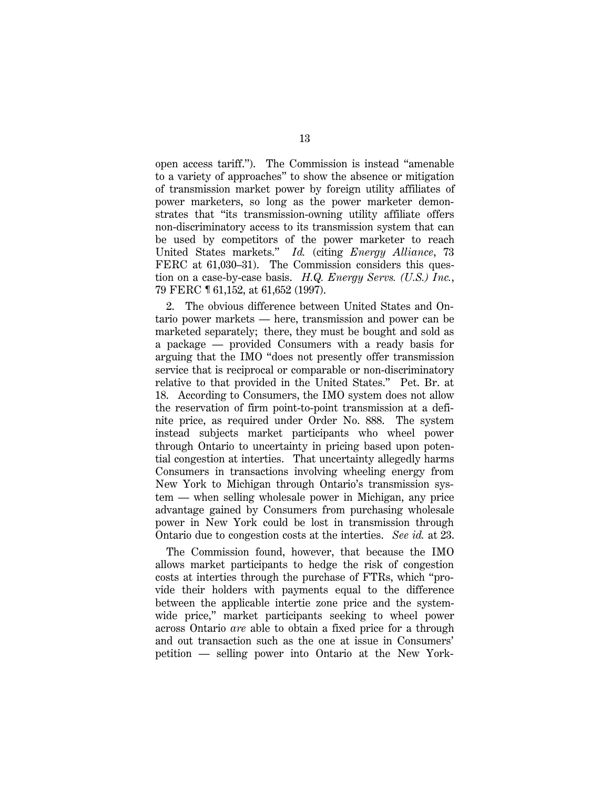open access tariff.''). The Commission is instead ''amenable to a variety of approaches'' to show the absence or mitigation of transmission market power by foreign utility affiliates of power marketers, so long as the power marketer demonstrates that ''its transmission-owning utility affiliate offers non-discriminatory access to its transmission system that can be used by competitors of the power marketer to reach United States markets.'' *Id.* (citing *Energy Alliance*, 73 FERC at 61,030–31). The Commission considers this question on a case-by-case basis. *H.Q. Energy Servs. (U.S.) Inc.*, 79 FERC ¶ 61,152, at 61,652 (1997).

2. The obvious difference between United States and Ontario power markets — here, transmission and power can be marketed separately; there, they must be bought and sold as a package — provided Consumers with a ready basis for arguing that the IMO ''does not presently offer transmission service that is reciprocal or comparable or non-discriminatory relative to that provided in the United States.'' Pet. Br. at 18. According to Consumers, the IMO system does not allow the reservation of firm point-to-point transmission at a definite price, as required under Order No. 888. The system instead subjects market participants who wheel power through Ontario to uncertainty in pricing based upon potential congestion at interties. That uncertainty allegedly harms Consumers in transactions involving wheeling energy from New York to Michigan through Ontario's transmission system — when selling wholesale power in Michigan, any price advantage gained by Consumers from purchasing wholesale power in New York could be lost in transmission through Ontario due to congestion costs at the interties. *See id.* at 23.

The Commission found, however, that because the IMO allows market participants to hedge the risk of congestion costs at interties through the purchase of FTRs, which ''provide their holders with payments equal to the difference between the applicable intertie zone price and the systemwide price," market participants seeking to wheel power across Ontario *are* able to obtain a fixed price for a through and out transaction such as the one at issue in Consumers' petition — selling power into Ontario at the New York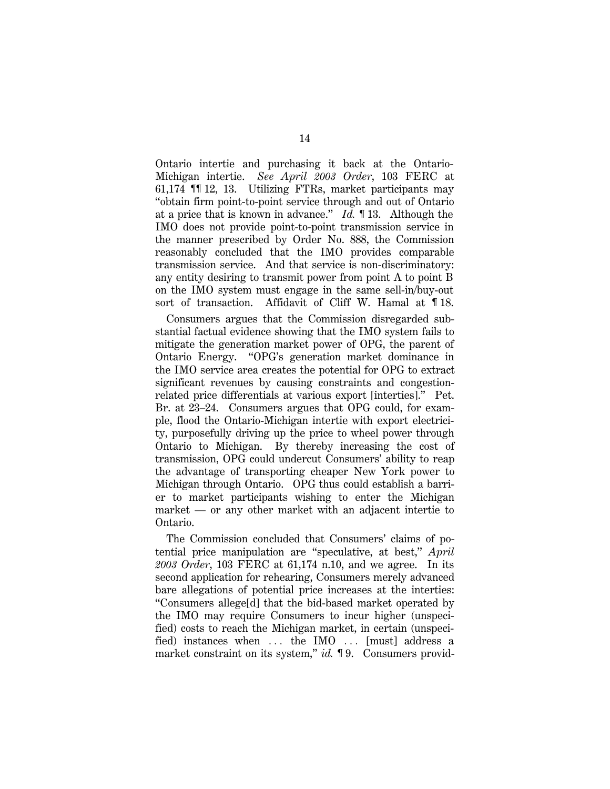Ontario intertie and purchasing it back at the Ontario-Michigan intertie. *See April 2003 Order*, 103 FERC at 61,174 ¶¶ 12, 13. Utilizing FTRs, market participants may ''obtain firm point-to-point service through and out of Ontario at a price that is known in advance.'' *Id.* ¶ 13. Although the IMO does not provide point-to-point transmission service in the manner prescribed by Order No. 888, the Commission reasonably concluded that the IMO provides comparable transmission service. And that service is non-discriminatory: any entity desiring to transmit power from point A to point B on the IMO system must engage in the same sell-in/buy-out sort of transaction. Affidavit of Cliff W. Hamal at 18.

Consumers argues that the Commission disregarded substantial factual evidence showing that the IMO system fails to mitigate the generation market power of OPG, the parent of Ontario Energy. ''OPG's generation market dominance in the IMO service area creates the potential for OPG to extract significant revenues by causing constraints and congestionrelated price differentials at various export [interties].'' Pet. Br. at 23–24. Consumers argues that OPG could, for example, flood the Ontario-Michigan intertie with export electricity, purposefully driving up the price to wheel power through Ontario to Michigan. By thereby increasing the cost of transmission, OPG could undercut Consumers' ability to reap the advantage of transporting cheaper New York power to Michigan through Ontario. OPG thus could establish a barrier to market participants wishing to enter the Michigan market — or any other market with an adjacent intertie to Ontario.

The Commission concluded that Consumers' claims of potential price manipulation are ''speculative, at best,'' *April 2003 Order*, 103 FERC at 61,174 n.10, and we agree. In its second application for rehearing, Consumers merely advanced bare allegations of potential price increases at the interties: ''Consumers allege[d] that the bid-based market operated by the IMO may require Consumers to incur higher (unspecified) costs to reach the Michigan market, in certain (unspecified) instances when  $\ldots$  the IMO  $\ldots$  [must] address a market constraint on its system," *id.* 19. Consumers provid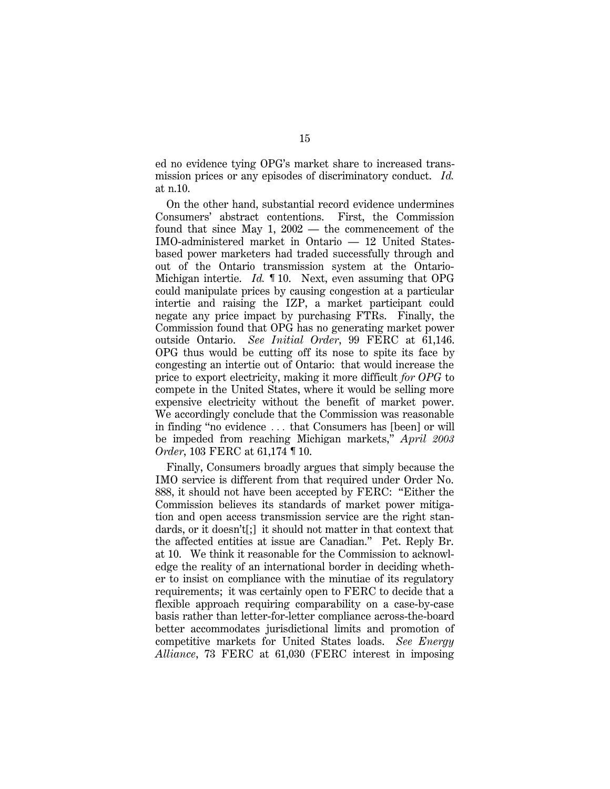ed no evidence tying OPG's market share to increased transmission prices or any episodes of discriminatory conduct. *Id.* at n.10.

On the other hand, substantial record evidence undermines Consumers' abstract contentions. First, the Commission found that since May 1, 2002 — the commencement of the IMO-administered market in Ontario — 12 United Statesbased power marketers had traded successfully through and out of the Ontario transmission system at the Ontario-Michigan intertie. *Id.* ¶ 10. Next, even assuming that OPG could manipulate prices by causing congestion at a particular intertie and raising the IZP, a market participant could negate any price impact by purchasing FTRs. Finally, the Commission found that OPG has no generating market power outside Ontario. *See Initial Order*, 99 FERC at 61,146. OPG thus would be cutting off its nose to spite its face by congesting an intertie out of Ontario: that would increase the price to export electricity, making it more difficult *for OPG* to compete in the United States, where it would be selling more expensive electricity without the benefit of market power. We accordingly conclude that the Commission was reasonable in finding "no evidence ... that Consumers has [been] or will be impeded from reaching Michigan markets,'' *April 2003 Order*, 103 FERC at 61,174 **1** 10.

Finally, Consumers broadly argues that simply because the IMO service is different from that required under Order No. 888, it should not have been accepted by FERC: ''Either the Commission believes its standards of market power mitigation and open access transmission service are the right standards, or it doesn't[;] it should not matter in that context that the affected entities at issue are Canadian.'' Pet. Reply Br. at 10. We think it reasonable for the Commission to acknowledge the reality of an international border in deciding whether to insist on compliance with the minutiae of its regulatory requirements; it was certainly open to FERC to decide that a flexible approach requiring comparability on a case-by-case basis rather than letter-for-letter compliance across-the-board better accommodates jurisdictional limits and promotion of competitive markets for United States loads. *See Energy Alliance*, 73 FERC at 61,030 (FERC interest in imposing